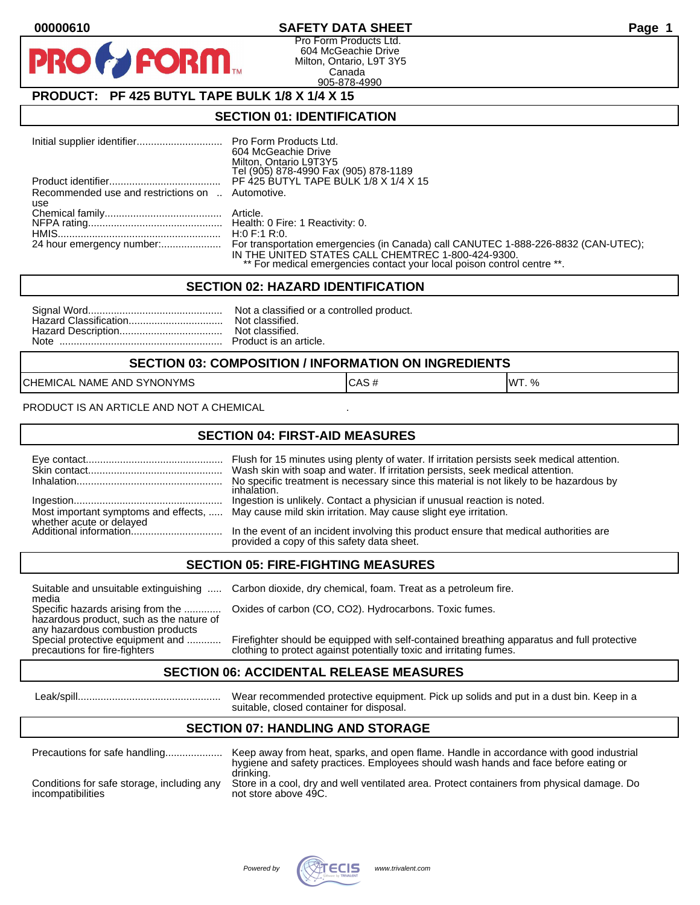## **00000610 SAFETY DATA SHEET Page 1**

Pro Form Products Ltd. 604 McGeachie Drive Milton, Ontario, L9T 3Y5 Canada 905-878-4990

# **PRODUCT: PF 425 BUTYL TAPE BULK 1/8 X 1/4 X 15**

**FORM.** 

### **SECTION 01: IDENTIFICATION**

|                                                  | 604 McGeachie Drive<br>Milton, Ontario L9T3Y5                                                                                 |
|--------------------------------------------------|-------------------------------------------------------------------------------------------------------------------------------|
|                                                  | Tel (905) 878-4990 Fax (905) 878-1189<br>PF 425 BUTYL TAPE BULK 1/8 X 1/4 X 15                                                |
|                                                  |                                                                                                                               |
| Recommended use and restrictions on  Automotive. |                                                                                                                               |
| use                                              |                                                                                                                               |
|                                                  |                                                                                                                               |
|                                                  |                                                                                                                               |
|                                                  |                                                                                                                               |
|                                                  | IN THE UNITED STATES CALL CHEMTREC 1-800-424-9300.<br>** For medical emergencies contact your local poison control centre **. |

#### **SECTION 02: HAZARD IDENTIFICATION**

#### **SECTION 03: COMPOSITION / INFORMATION ON INGREDIENTS**

CHEMICAL NAME AND SYNONYMS CASE CAS # CAS # WT. %

PRODUCT IS AN ARTICLE AND NOT A CHEMICAL

### **SECTION 04: FIRST-AID MEASURES**

|                                                    | Wash skin with soap and water. If irritation persists, seek medical attention.<br>No specific treatment is necessary since this material is not likely to be hazardous by<br>inhalation. |
|----------------------------------------------------|------------------------------------------------------------------------------------------------------------------------------------------------------------------------------------------|
|                                                    | Ingestion is unlikely. Contact a physician if unusual reaction is noted.<br>Most important symptoms and effects,  May cause mild skin irritation. May cause slight eye irritation.       |
| whether acute or delayed<br>Additional information | In the event of an incident involving this product ensure that medical authorities are<br>provided a copy of this safety data sheet.                                                     |

### **SECTION 05: FIRE-FIGHTING MEASURES**

media<br>Specific hazards arising from the .............

hazardous product, such as the nature of any hazardous combustion products<br>Special protective equipment and ............

Suitable and unsuitable extinguishing ..... Carbon dioxide, dry chemical, foam. Treat as a petroleum fire.

Oxides of carbon (CO, CO2). Hydrocarbons. Toxic fumes.

Special protective equipment and ............ Firefighter should be equipped with self-contained breathing apparatus and full protective<br>precautions for fire-fighters on the clothing to protect against potentially toxic an clothing to protect against potentially toxic and irritating fumes.

### **SECTION 06: ACCIDENTAL RELEASE MEASURES**

 Leak/spill.................................................. Wear recommended protective equipment. Pick up solids and put in a dust bin. Keep in a suitable, closed container for disposal.

# **SECTION 07: HANDLING AND STORAGE**

| Precautions for safe handling              | Keep away from heat, sparks, and open flame. Handle in accordance with good industrial<br>hygiene and safety practices. Employees should wash hands and face before eating or<br>drinking. |
|--------------------------------------------|--------------------------------------------------------------------------------------------------------------------------------------------------------------------------------------------|
| Conditions for safe storage, including any | Store in a cool, dry and well ventilated area. Protect containers from physical damage. Do                                                                                                 |
| incompatibilities                          | not store above 49C.                                                                                                                                                                       |

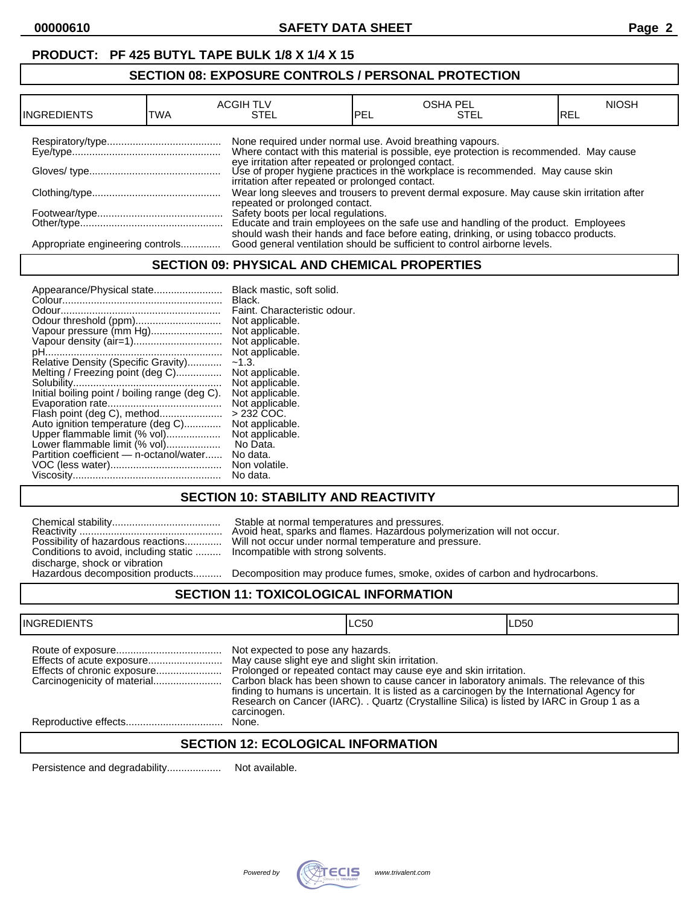# **PRODUCT: PF 425 BUTYL TAPE BULK 1/8 X 1/4 X 15**

# **SECTION 08: EXPOSURE CONTROLS / PERSONAL PROTECTION**

| <b>INGREDIENTS</b>               | TWA | <b>ACGIH TLV</b><br>STEL                                 | PEL | <b>OSHA PEL</b><br>STEL                                                                                                                                                                                                          | <b>NIOSH</b><br>IREL |
|----------------------------------|-----|----------------------------------------------------------|-----|----------------------------------------------------------------------------------------------------------------------------------------------------------------------------------------------------------------------------------|----------------------|
|                                  |     | None required under normal use. Avoid breathing vapours. |     | Where contact with this material is possible, eye protection is recommended. May cause<br>eye irritation after repeated or prolonged contact.<br>Use of proper hygiene practices in the workplace is recommended. May cause skin |                      |
|                                  |     | irritation after repeated or prolonged contact.          |     | Wear long sleeves and trousers to prevent dermal exposure. May cause skin irritation after                                                                                                                                       |                      |
|                                  |     | repeated or prolonged contact.                           |     | Safety boots per local regulations.<br>Educate and train employees on the safe use and handling of the product. Employees                                                                                                        |                      |
| Appropriate engineering controls |     |                                                          |     | should wash their hands and face before eating, drinking, or using tobacco products.<br>Good general ventilation should be sufficient to control airborne levels.                                                                |                      |

### **SECTION 09: PHYSICAL AND CHEMICAL PROPERTIES**

## **SECTION 10: STABILITY AND REACTIVITY**

|                                       | Stable at normal temperatures and pressures.<br>Avoid heat, sparks and flames. Hazardous poly                           |
|---------------------------------------|-------------------------------------------------------------------------------------------------------------------------|
| Conditions to avoid, including static | Possibility of hazardous reactions Will not occur under normal temperature and pr<br>Incompatible with strong solvents. |
| discharge, shock or vibration         |                                                                                                                         |
| Hazardous decomposition products      | Decomposition may produce fumes, smoke, oxi                                                                             |

Reactivity .................................................. Avoid heat, sparks and flames. Hazardous polymerization will not occur. Possibility of hazardous reactions............. Will not occur under normal temperature and pressure. Incompatible with strong solvents.

Decomposition may produce fumes, smoke, oxides of carbon and hydrocarbons.

## **SECTION 11: TOXICOLOGICAL INFORMATION**

| <b>INGREDIENTS</b> |                                                                                                                                                                                                                                                                                                                                                                                                                                                                    | LC50 | ILD50 |
|--------------------|--------------------------------------------------------------------------------------------------------------------------------------------------------------------------------------------------------------------------------------------------------------------------------------------------------------------------------------------------------------------------------------------------------------------------------------------------------------------|------|-------|
|                    | Not expected to pose any hazards.<br>May cause slight eye and slight skin irritation.<br>Prolonged or repeated contact may cause eye and skin irritation.<br>Carbon black has been shown to cause cancer in laboratory animals. The relevance of this<br>finding to humans is uncertain. It is listed as a carcinogen by the International Agency for<br>Research on Cancer (IARC). . Quartz (Crystalline Silica) is listed by IARC in Group 1 as a<br>carcinogen. |      |       |
|                    | None.                                                                                                                                                                                                                                                                                                                                                                                                                                                              |      |       |

## **SECTION 12: ECOLOGICAL INFORMATION**

Persistence and degradability................... Not available.